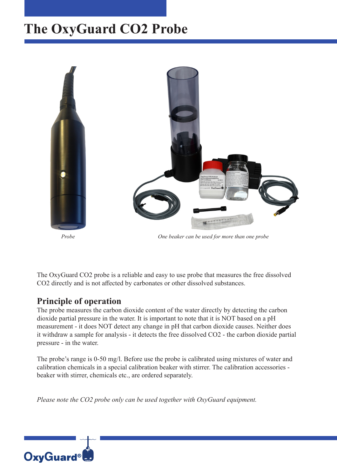## **The OxyGuard CO2 Probe**



*Probe One beaker can be used for more than one probe*

The OxyGuard CO2 probe is a reliable and easy to use probe that measures the free dissolved CO2 directly and is not affected by carbonates or other dissolved substances.

#### **Principle of operation**

The probe measures the carbon dioxide content of the water directly by detecting the carbon dioxide partial pressure in the water. It is important to note that it is NOT based on a pH measurement - it does NOT detect any change in pH that carbon dioxide causes. Neither does it withdraw a sample for analysis - it detects the free dissolved CO2 - the carbon dioxide partial pressure - in the water.

The probe's range is 0-50 mg/l. Before use the probe is calibrated using mixtures of water and calibration chemicals in a special calibration beaker with stirrer. The calibration accessories beaker with stirrer, chemicals etc., are ordered separately.

*Please note the CO2 probe only can be used together with OxyGuard equipment.*